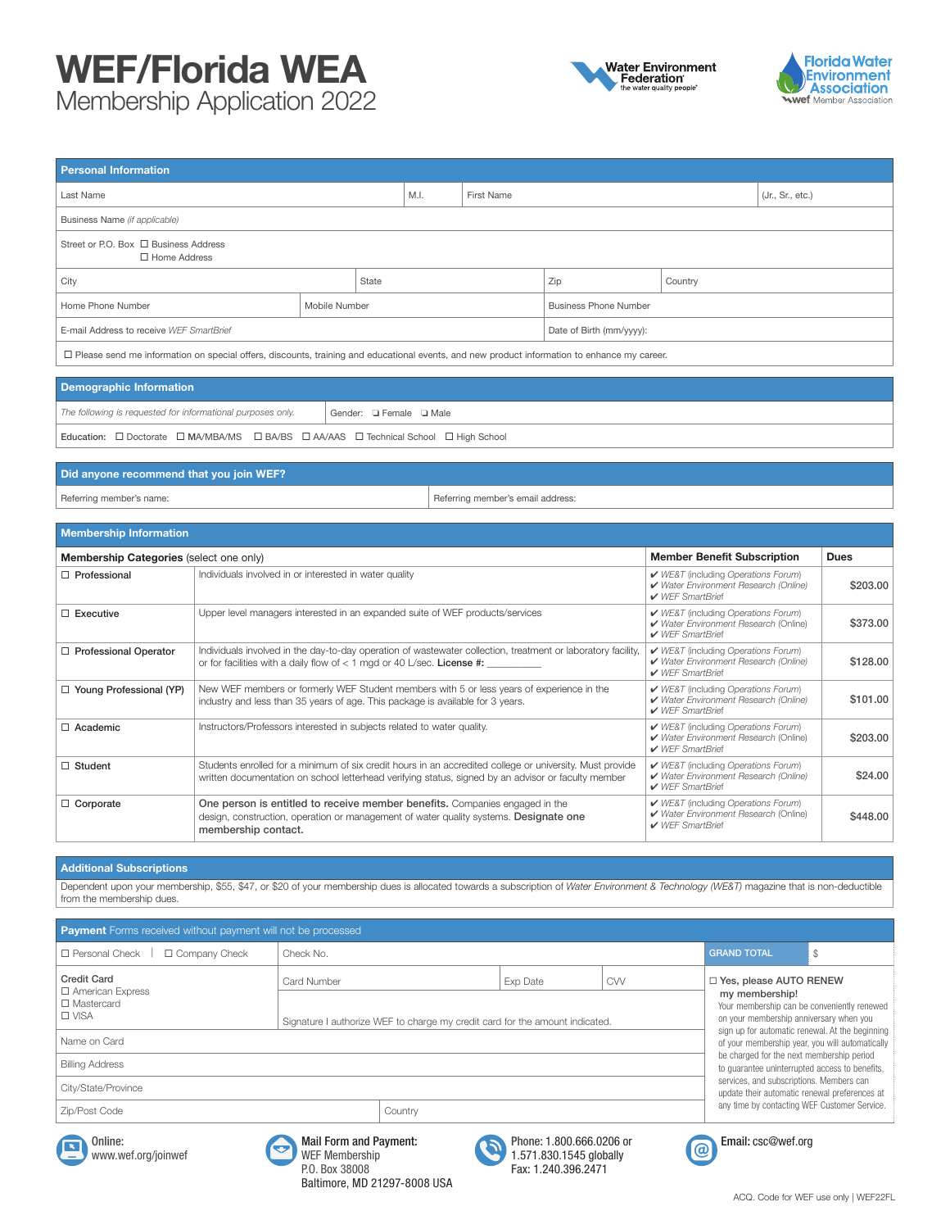# WEF/Florida WEA Membership Application 2022





| <b>Personal Information</b>                                                                                                                   |  |                                               |      |            |                          |         |                  |  |
|-----------------------------------------------------------------------------------------------------------------------------------------------|--|-----------------------------------------------|------|------------|--------------------------|---------|------------------|--|
| Last Name                                                                                                                                     |  |                                               | M.I. | First Name |                          |         | (Jr., Sr., etc.) |  |
| Business Name (if applicable)                                                                                                                 |  |                                               |      |            |                          |         |                  |  |
| Street or P.O. Box □ Business Address<br>□ Home Address                                                                                       |  |                                               |      |            |                          |         |                  |  |
| City<br>State                                                                                                                                 |  |                                               |      |            | Zip                      | Country |                  |  |
| Home Phone Number                                                                                                                             |  | <b>Business Phone Number</b><br>Mobile Number |      |            |                          |         |                  |  |
| E-mail Address to receive WEF SmartBrief                                                                                                      |  |                                               |      |            | Date of Birth (mm/yyyy): |         |                  |  |
| □ Please send me information on special offers, discounts, training and educational events, and new product information to enhance my career. |  |                                               |      |            |                          |         |                  |  |

| <b>Demographic Information</b>                                                       |                         |  |  |  |  |
|--------------------------------------------------------------------------------------|-------------------------|--|--|--|--|
| The following is requested for informational purposes only.                          | Gender: □ Female □ Male |  |  |  |  |
| Education: □ Doctorate □ MA/MBA/MS □ BA/BS □ AA/AAS □ Technical School □ High School |                         |  |  |  |  |

#### Did anyone recommend that you join WEF?

Referring member's name: The research of the state of the Referring member's email address:

Membership Information

| <b>INCHING SHIP HILDI HIGUUH</b>        |                                                                                                                                                                                                                 |                                                                                                       |             |  |  |
|-----------------------------------------|-----------------------------------------------------------------------------------------------------------------------------------------------------------------------------------------------------------------|-------------------------------------------------------------------------------------------------------|-------------|--|--|
| Membership Categories (select one only) |                                                                                                                                                                                                                 | <b>Member Benefit Subscription</b>                                                                    | <b>Dues</b> |  |  |
| $\Box$ Professional                     | Individuals involved in or interested in water quality                                                                                                                                                          | ✔ WE&T (including Operations Forum)<br>V Water Environment Research (Online)<br>$\vee$ WFF SmartBrief | \$203,00    |  |  |
| $\Box$ Executive                        | Upper level managers interested in an expanded suite of WEF products/services                                                                                                                                   | ✔ WE&T (including Operations Forum)<br>V Water Environment Research (Online)<br>$\vee$ WFF SmartBrief | \$373,00    |  |  |
| $\Box$ Professional Operator            | Individuals involved in the day-to-day operation of wastewater collection, treatment or laboratory facility,<br>or for facilities with a daily flow of $<$ 1 mgd or 40 L/sec. License #:                        | ✔ WE&T (including Operations Forum)<br>V Water Environment Research (Online)<br>$\vee$ WFF SmartBrief | \$128,00    |  |  |
| $\Box$ Young Professional (YP)          | New WEF members or formerly WEF Student members with 5 or less years of experience in the<br>industry and less than 35 years of age. This package is available for 3 years.                                     | ✔ WE&T (including Operations Forum)<br>V Water Environment Research (Online)<br>$\vee$ WFF SmartBrief | \$101.00    |  |  |
| $\Box$ Academic                         | Instructors/Professors interested in subjects related to water quality.                                                                                                                                         | ✔ WE&T (including Operations Forum)<br>V Water Environment Research (Online)<br>$\vee$ WFF SmartBrief | \$203.00    |  |  |
| $\Box$ Student                          | Students enrolled for a minimum of six credit hours in an accredited college or university. Must provide<br>written documentation on school letterhead verifying status, signed by an advisor or faculty member | ✔ WE&T (including Operations Forum)<br>V Water Environment Research (Online)<br>$\vee$ WFF SmartBrief | \$24.00     |  |  |
| $\Box$ Corporate                        | One person is entitled to receive member benefits. Companies engaged in the<br>design, construction, operation or management of water quality systems. <b>Designate one</b><br>membership contact.              | ✔ WE&T (including Operations Forum)<br>V Water Environment Research (Online)<br>$\vee$ WFF SmartBrief | \$448.00    |  |  |

#### Additional Subscriptions

Dependent upon your membership, \$55, \$47, or \$20 of your membership dues is allocated towards a subscription of *Water Environment & Technology (WE&T)* magazine that is non-deductible<br>from the membership dues.

| <b>Payment</b> Forms received without payment will not be processed   |             |                                                                              |                                              |           |                                                                                                                                                                                                                                                                                                |  |  |  |
|-----------------------------------------------------------------------|-------------|------------------------------------------------------------------------------|----------------------------------------------|-----------|------------------------------------------------------------------------------------------------------------------------------------------------------------------------------------------------------------------------------------------------------------------------------------------------|--|--|--|
| □ Personal Check<br>□ Company Check                                   | Check No.   |                                                                              | <b>GRAND TOTAL</b>                           | \$        |                                                                                                                                                                                                                                                                                                |  |  |  |
| Credit Card<br>□ American Express<br>$\Box$ Mastercard<br>$\Box$ VISA | Card Number | Signature I authorize WEF to charge my credit card for the amount indicated. | Exp Date                                     | <b>CW</b> | □ Yes, please AUTO RENEW<br>my membership!<br>Your membership can be conveniently renewed<br>on your membership anniversary when you                                                                                                                                                           |  |  |  |
| Name on Card<br><b>Billing Address</b>                                |             |                                                                              |                                              |           | sign up for automatic renewal. At the beginning<br>of your membership year, you will automatically<br>be charged for the next membership period<br>to quarantee uninterrupted access to benefits,<br>services, and subscriptions. Members can<br>update their automatic renewal preferences at |  |  |  |
| City/State/Province                                                   |             |                                                                              |                                              |           |                                                                                                                                                                                                                                                                                                |  |  |  |
| Zip/Post Code                                                         | Country     |                                                                              | any time by contacting WEF Customer Service. |           |                                                                                                                                                                                                                                                                                                |  |  |  |



Online: